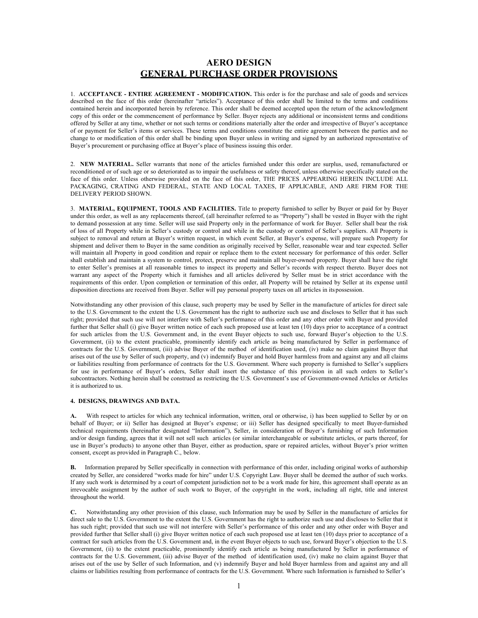# **AERO DESIGN GENERAL PURCHASE ORDER PROVISIONS**

1. **ACCEPTANCE - ENTIRE AGREEMENT - MODIFICATION.** This order is for the purchase and sale of goods and services described on the face of this order (hereinafter "articles"). Acceptance of this order shall be limited to the terms and conditions contained herein and incorporated herein by reference. This order shall be deemed accepted upon the return of the acknowledgment copy of this order or the commencement of performance by Seller. Buyer rejects any additional or inconsistent terms and conditions offered by Seller at any time, whether or not such terms or conditions materially alter the order and irrespective of Buyer's acceptance of or payment for Seller's items or services. These terms and conditions constitute the entire agreement between the parties and no change to or modification of this order shall be binding upon Buyer unless in writing and signed by an authorized representative of Buyer's procurement or purchasing office at Buyer's place of business issuing this order.

2. **NEW MATERIAL.** Seller warrants that none of the articles furnished under this order are surplus, used, remanufactured or reconditioned or of such age or so deteriorated as to impair the usefulness or safety thereof, unless otherwise specifically stated on the face of this order. Unless otherwise provided on the face of this order, THE PRICES APPEARING HEREIN INCLUDE ALL PACKAGING, CRATING AND FEDERAL, STATE AND LOCAL TAXES, IF APPLICABLE, AND ARE FIRM FOR THE DELIVERY PERIOD SHOWN.

3. **MATERIAL, EQUIPMENT, TOOLS AND FACILITIES.** Title to property furnished to seller by Buyer or paid for by Buyer under this order, as well as any replacements thereof, (all hereinafter referred to as "Property") shall be vested in Buyer with the right to demand possession at any time. Seller will use said Property only in the performance of work for Buyer. Seller shall bear the risk of loss of all Property while in Seller's custody or control and while in the custody or control of Seller's suppliers. All Property is subject to removal and return at Buyer's written request, in which event Seller, at Buyer's expense, will prepare such Property for shipment and deliver them to Buyer in the same condition as originally received by Seller, reasonable wear and tear expected. Seller will maintain all Property in good condition and repair or replace them to the extent necessary for performance of this order. Seller shall establish and maintain a system to control, protect, preserve and maintain all buyer-owned property. Buyer shall have the right to enter Seller's premises at all reasonable times to inspect its property and Seller's records with respect thereto. Buyer does not warrant any aspect of the Property which it furnishes and all articles delivered by Seller must be in strict accordance with the requirements of this order. Upon completion or termination of this order, all Property will be retained by Seller at its expense until disposition directions are received from Buyer. Seller will pay personal property taxes on all articles in its possession.

Notwithstanding any other provision of this clause, such property may be used by Seller in the manufacture of articles for direct sale to the U.S. Government to the extent the U.S. Government has the right to authorize such use and discloses to Seller that it has such right; provided that such use will not interfere with Seller's performance of this order and any other order with Buyer and provided further that Seller shall (i) give Buyer written notice of each such proposed use at least ten (10) days prior to acceptance of a contract for such articles from the U.S. Government and, in the event Buyer objects to such use, forward Buyer's objection to the U.S. Government, (ii) to the extent practicable, prominently identify each article as being manufactured by Seller in performance of contracts for the U.S. Government, (iii) advise Buyer of the method of identification used, (iv) make no claim against Buyer that arises out of the use by Seller of such property, and (v) indemnify Buyer and hold Buyer harmless from and against any and all claims or liabilities resulting from performance of contracts for the U.S. Government. Where such property is furnished to Seller's suppliers for use in performance of Buyer's orders, Seller shall insert the substance of this provision in all such orders to Seller's subcontractors. Nothing herein shall be construed as restricting the U.S. Government's use of Government-owned Articles or Articles it is authorized to us.

# **4. DESIGNS, DRAWINGS AND DATA.**

**A.** With respect to articles for which any technical information, written, oral or otherwise, i) has been supplied to Seller by or on behalf of Buyer; or ii) Seller has designed at Buyer's expense; or iii) Seller has designed specifically to meet Buyer-furnished technical requirements (hereinafter designated "Information"), Seller, in consideration of Buyer's furnishing of such Information and/or design funding, agrees that it will not sell such articles (or similar interchangeable or substitute articles, or parts thereof, for use in Buyer's products) to anyone other than Buyer, either as production, spare or repaired articles, without Buyer's prior written consent, except as provided in Paragraph C., below.

**B.** Information prepared by Seller specifically in connection with performance of this order, including original works of authorship created by Seller, are considered "works made for hire" under U.S. Copyright Law. Buyer shall be deemed the author of such works. If any such work is determined by a court of competent jurisdiction not to be a work made for hire, this agreement shall operate as an irrevocable assignment by the author of such work to Buyer, of the copyright in the work, including all right, title and interest throughout the world.

**C.** Notwithstanding any other provision of this clause, such Information may be used by Seller in the manufacture of articles for direct sale to the U.S. Government to the extent the U.S. Government has the right to authorize such use and discloses to Seller that it has such right; provided that such use will not interfere with Seller's performance of this order and any other order with Buyer and provided further that Seller shall (i) give Buyer written notice of each such proposed use at least ten (10) days prior to acceptance of a contract for such articles from the U.S. Government and, in the event Buyer objects to such use, forward Buyer's objection to the U.S. Government, (ii) to the extent practicable, prominently identify each article as being manufactured by Seller in performance of contracts for the U.S. Government, (iii) advise Buyer of the method of identification used, (iv) make no claim against Buyer that arises out of the use by Seller of such Information, and (v) indemnify Buyer and hold Buyer harmless from and against any and all claims or liabilities resulting from performance of contracts for the U.S. Government. Where such Information is furnished to Seller's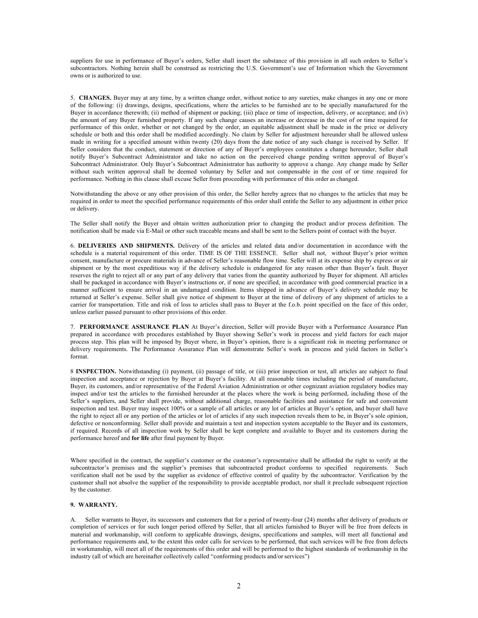suppliers for use in performance of Buyer's orders, Seller shall insert the substance of this provision in all such orders to Seller's subcontractors. Nothing herein shall be construed as restricting the U.S. Government's use of Information which the Government owns or is authorized to use.

5. **CHANGES.** Buyer may at any time, by a written change order, without notice to any sureties, make changes in any one or more of the following: (i) drawings, designs, specifications, where the articles to be furnished are to be specially manufactured for the Buyer in accordance therewith; (ii) method of shipment or packing; (iii) place or time of inspection, delivery, or acceptance; and (iv) the amount of any Buyer furnished property. If any such change causes an increase or decrease in the cost of or time required for performance of this order, whether or not changed by the order, an equitable adjustment shall be made in the price or delivery schedule or both and this order shall be modified accordingly. No claim by Seller for adjustment hereunder shall be allowed unless made in writing for a specified amount within twenty (20) days from the date notice of any such change is received by Seller. If Seller considers that the conduct, statement or direction of any of Buyer's employees constitutes a change hereunder, Seller shall notify Buyer's Subcontract Administrator and take no action on the perceived change pending written approval of Buyer's Subcontract Administrator. Only Buyer's Subcontract Administrator has authority to approve a change. Any change made by Seller without such written approval shall be deemed voluntary by Seller and not compensable in the cost of or time required for performance. Nothing in this clause shall excuse Seller from proceeding with performance of this order as changed.

Notwithstanding the above or any other provision of this order, the Seller hereby agrees that no changes to the articles that may be required in order to meet the specified performance requirements of this order shall entitle the Seller to any adjustment in either price or delivery.

The Seller shall notify the Buyer and obtain written authorization prior to changing the product and/or process definition. The notification shall be made via E-Mail or other such traceable means and shall be sent to the Sellers point of contact with the buyer.

6. **DELIVERIES AND SHIPMENTS.** Delivery of the articles and related data and/or documentation in accordance with the schedule is a material requirement of this order. TIME IS OF THE ESSENCE. Seller shall not, without Buyer's prior written consent, manufacture or procure materials in advance of Seller's reasonable flow time. Seller will at its expense ship by express or air shipment or by the most expeditious way if the delivery schedule is endangered for any reason other than Buyer's fault. Buyer reserves the right to reject all or any part of any delivery that varies from the quantity authorized by Buyer for shipment. All articles shall be packaged in accordance with Buyer's instructions or, if none are specified, in accordance with good commercial practice in a manner sufficient to ensure arrival in an undamaged condition. Items shipped in advance of Buyer's delivery schedule may be returned at Seller's expense. Seller shall give notice of shipment to Buyer at the time of delivery of any shipment of articles to a carrier for transportation. Title and risk of loss to articles shall pass to Buyer at the f.o.b. point specified on the face of this order, unless earlier passed pursuant to other provisions of this order.

7. **PERFORMANCE ASSURANCE PLAN** At Buyer's direction, Seller will provide Buyer with a Performance Assurance Plan prepared in accordance with procedures established by Buyer showing Seller's work in process and yield factors for each major process step. This plan will be imposed by Buyer where, in Buyer's opinion, there is a significant risk in meeting performance or delivery requirements. The Performance Assurance Plan will demonstrate Seller's work in process and yield factors in Seller's format.

8 **INSPECTION.** Notwithstanding (i) payment, (ii) passage of title, or (iii) prior inspection or test, all articles are subject to final inspection and acceptance or rejection by Buyer at Buyer's facility. At all reasonable times including the period of manufacture, Buyer, its customers, and/or representative of the Federal Aviation Administration or other cognizant aviation regulatory bodies may inspect and/or test the articles to the furnished hereunder at the places where the work is being performed, including those of the Seller's suppliers, and Seller shall provide, without additional charge, reasonable facilities and assistance for safe and convenient inspection and test. Buyer may inspect 100% or a sample of all articles or any lot of articles at Buyer's option, and buyer shall have the right to reject all or any portion of the articles or lot of articles if any such inspection reveals them to be, in Buyer's sole opinion, defective or nonconforming. Seller shall provide and maintain a test and inspection system acceptable to the Buyer and its customers, if required. Records of all inspection work by Seller shall be kept complete and available to Buyer and its customers during the performance hereof and **for life** after final payment by Buyer.

Where specified in the contract, the supplier's customer or the customer's representative shall be afforded the right to verify at the subcontractor's premises and the supplier's premises that subcontracted product conforms to specified requirements. Such verification shall not be used by the supplier as evidence of effective control of quality by the subcontractor. Verification by the customer shall not absolve the supplier of the responsibility to provide acceptable product, nor shall it preclude subsequent rejection by the customer.

## **9. WARRANTY.**

A. Seller warrants to Buyer, its successors and customers that for a period of twenty-four (24) months after delivery of products or completion of services or for such longer period offered by Seller, that all articles furnished to Buyer will be free from defects in material and workmanship, will conform to applicable drawings, designs, specifications and samples, will meet all functional and performance requirements and, to the extent this order calls for services to be performed, that such services will be free from defects in workmanship, will meet all of the requirements of this order and will be performed to the highest standards of workmanship in the industry (all of which are hereinafter collectively called "conforming products and/or services")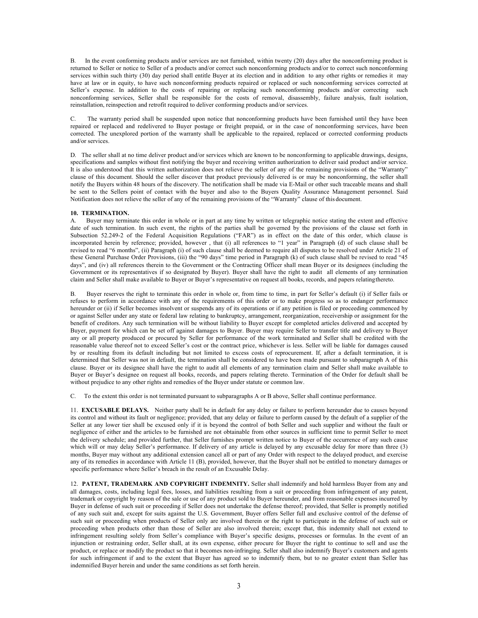B. In the event conforming products and/or services are not furnished, within twenty (20) days after the nonconforming product is returned to Seller or notice to Seller of a products and/or correct such nonconforming products and/or to correct such nonconforming services within such thirty (30) day period shall entitle Buyer at its election and in addition to any other rights or remedies it may have at law or in equity, to have such nonconforming products repaired or replaced or such nonconforming services corrected at Seller's expense. In addition to the costs of repairing or replacing such nonconforming products and/or correcting such nonconforming services, Seller shall be responsible for the costs of removal, disassembly, failure analysis, fault isolation, reinstallation, reinspection and retrofit required to deliver conforming products and/or services.

C. The warranty period shall be suspended upon notice that nonconforming products have been furnished until they have been repaired or replaced and redelivered to Buyer postage or freight prepaid, or in the case of nonconforming services, have been corrected. The unexplored portion of the warranty shall be applicable to the repaired, replaced or corrected conforming products and/or services.

D. The seller shall at no time deliver product and/or services which are known to be nonconforming to applicable drawings, designs, specifications and samples without first notifying the buyer and receiving written authorization to deliver said product and/or service. It is also understood that this written authorization does not relieve the seller of any of the remaining provisions of the "Warranty" clause of this document. Should the seller discover that product previously delivered is or may be nonconforming, the seller shall notify the Buyers within 48 hours of the discovery. The notification shall be made via E-Mail or other such traceable means and shall be sent to the Sellers point of contact with the buyer and also to the Buyers Quality Assurance Management personnel. Said Notification does not relieve the seller of any of the remaining provisions of the "Warranty" clause of this document.

## **10. TERMINATION.**

A. Buyer may terminate this order in whole or in part at any time by written or telegraphic notice stating the extent and effective date of such termination. In such event, the rights of the parties shall be governed by the provisions of the clause set forth in Subsection 52.249-2 of the Federal Acquisition Regulations ("FAR") as in effect on the date of this order, which clause is incorporated herein by reference; provided, however, that (i) all references to "1 year" in Paragraph (d) of such clause shall be revised to read "6 months", (ii) Paragraph (i) of such clause shall be deemed to require all disputes to be resolved under Article 21 of these General Purchase Order Provisions, (iii) the "90 days" time period in Paragraph (k) of such clause shall be revised to read "45 days", and (iv) all references therein to the Government or the Contracting Officer shall mean Buyer or its designees (including the Government or its representatives if so designated by Buyer). Buyer shall have the right to audit all elements of any termination claim and Seller shall make available to Buyer or Buyer's representative on request all books, records, and papers relatingthereto.

B. Buyer reserves the right to terminate this order in whole or, from time to time, in part for Seller's default (i) if Seller fails or refuses to perform in accordance with any of the requirements of this order or to make progress so as to endanger performance hereunder or (ii) if Seller becomes insolvent or suspends any of its operations or if any petition is filed or proceeding commenced by or against Seller under any state or federal law relating to bankruptcy, arrangement, reorganization, receivership or assignment for the benefit of creditors. Any such termination will be without liability to Buyer except for completed articles delivered and accepted by Buyer, payment for which can be set off against damages to Buyer. Buyer may require Seller to transfer title and delivery to Buyer any or all property produced or procured by Seller for performance of the work terminated and Seller shall be credited with the reasonable value thereof not to exceed Seller's cost or the contract price, whichever is less. Seller will be liable for damages caused by or resulting from its default including but not limited to excess costs of reprocurement. If, after a default termination, it is determined that Seller was not in default, the termination shall be considered to have been made pursuant to subparagraph A of this clause. Buyer or its designee shall have the right to audit all elements of any termination claim and Seller shall make available to Buyer or Buyer's designee on request all books, records, and papers relating thereto. Termination of the Order for default shall be without prejudice to any other rights and remedies of the Buyer under statute or common law.

C. To the extent this order is not terminated pursuant to subparagraphs A or B above, Seller shall continue performance.

11. **EXCUSABLE DELAYS.** Neither party shall be in default for any delay or failure to perform hereunder due to causes beyond its control and without its fault or negligence; provided, that any delay or failure to perform caused by the default of a supplier of the Seller at any lower tier shall be excused only if it is beyond the control of both Seller and such supplier and without the fault or negligence of either and the articles to be furnished are not obtainable from other sources in sufficient time to permit Seller to meet the delivery schedule; and provided further, that Seller furnishes prompt written notice to Buyer of the occurrence of any such cause which will or may delay Seller's performance. If delivery of any article is delayed by any excusable delay for more than three (3) months, Buyer may without any additional extension cancel all or part of any Order with respect to the delayed product, and exercise any of its remedies in accordance with Article 11 (B), provided, however, that the Buyer shall not be entitled to monetary damages or specific performance where Seller's breach in the result of an Excusable Delay.

12. **PATENT, TRADEMARK AND COPYRIGHT INDEMNITY.** Seller shall indemnify and hold harmless Buyer from any and all damages, costs, including legal fees, losses, and liabilities resulting from a suit or proceeding from infringement of any patent, trademark or copyright by reason of the sale or use of any product sold to Buyer hereunder, and from reasonable expenses incurred by Buyer in defense of such suit or proceeding if Seller does not undertake the defense thereof; provided, that Seller is promptly notified of any such suit and, except for suits against the U.S. Government, Buyer offers Seller full and exclusive control of the defense of such suit or proceeding when products of Seller only are involved therein or the right to participate in the defense of such suit or proceeding when products other than those of Seller are also involved therein; except that, this indemnity shall not extend to infringement resulting solely from Seller's compliance with Buyer's specific designs, processes or formulas. In the event of an injunction or restraining order, Seller shall, at its own expense, either procure for Buyer the right to continue to sell and use the product, or replace or modify the product so that it becomes non-infringing. Seller shall also indemnify Buyer's customers and agents for such infringement if and to the extent that Buyer has agreed so to indemnify them, but to no greater extent than Seller has indemnified Buyer herein and under the same conditions as set forth herein.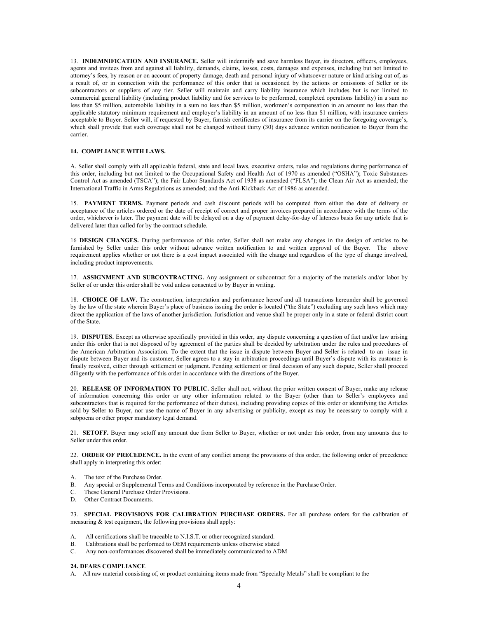13. **INDEMNIFICATION AND INSURANCE.** Seller will indemnify and save harmless Buyer, its directors, officers, employees, agents and invitees from and against all liability, demands, claims, losses, costs, damages and expenses, including but not limited to attorney's fees, by reason or on account of property damage, death and personal injury of whatsoever nature or kind arising out of, as a result of, or in connection with the performance of this order that is occasioned by the actions or omissions of Seller or its subcontractors or suppliers of any tier. Seller will maintain and carry liability insurance which includes but is not limited to commercial general liability (including product liability and for services to be performed, completed operations liability) in a sum no less than \$5 million, automobile liability in a sum no less than \$5 million, workmen's compensation in an amount no less than the applicable statutory minimum requirement and employer's liability in an amount of no less than \$1 million, with insurance carriers acceptable to Buyer. Seller will, if requested by Buyer, furnish certificates of insurance from its carrier on the foregoing coverage's, which shall provide that such coverage shall not be changed without thirty (30) days advance written notification to Buyer from the carrier.

# **14. COMPLIANCE WITH LAWS.**

A. Seller shall comply with all applicable federal, state and local laws, executive orders, rules and regulations during performance of this order, including but not limited to the Occupational Safety and Health Act of 1970 as amended ("OSHA"); Toxic Substances Control Act as amended (TSCA"); the Fair Labor Standards Act of 1938 as amended ("FLSA"); the Clean Air Act as amended; the International Traffic in Arms Regulations as amended; and the Anti-Kickback Act of 1986 as amended.

15. **PAYMENT TERMS.** Payment periods and cash discount periods will be computed from either the date of delivery or acceptance of the articles ordered or the date of receipt of correct and proper invoices prepared in accordance with the terms of the order, whichever is later. The payment date will be delayed on a day of payment delay-for-day of lateness basis for any article that is delivered later than called for by the contract schedule.

16 **DESIGN CHANGES.** During performance of this order, Seller shall not make any changes in the design of articles to be furnished by Seller under this order without advance written notification to and written approval of the Buyer. The above requirement applies whether or not there is a cost impact associated with the change and regardless of the type of change involved, including product improvements.

17. **ASSIGNMENT AND SUBCONTRACTING.** Any assignment or subcontract for a majority of the materials and/or labor by Seller of or under this order shall be void unless consented to by Buyer in writing.

18. **CHOICE OF LAW.** The construction, interpretation and performance hereof and all transactions hereunder shall be governed by the law of the state wherein Buyer's place of business issuing the order is located ("the State") excluding any such laws which may direct the application of the laws of another jurisdiction. Jurisdiction and venue shall be proper only in a state or federal district court of the State.

19. **DISPUTES.** Except as otherwise specifically provided in this order, any dispute concerning a question of fact and/or law arising under this order that is not disposed of by agreement of the parties shall be decided by arbitration under the rules and procedures of the American Arbitration Association. To the extent that the issue in dispute between Buyer and Seller is related to an issue in dispute between Buyer and its customer, Seller agrees to a stay in arbitration proceedings until Buyer's dispute with its customer is finally resolved, either through settlement or judgment. Pending settlement or final decision of any such dispute, Seller shall proceed diligently with the performance of this order in accordance with the directions of the Buyer.

20. **RELEASE OF INFORMATION TO PUBLIC.** Seller shall not, without the prior written consent of Buyer, make any release of information concerning this order or any other information related to the Buyer (other than to Seller's employees and subcontractors that is required for the performance of their duties), including providing copies of this order or identifying the Articles sold by Seller to Buyer, nor use the name of Buyer in any advertising or publicity, except as may be necessary to comply with a subpoena or other proper mandatory legal demand.

21. **SETOFF.** Buyer may setoff any amount due from Seller to Buyer, whether or not under this order, from any amounts due to Seller under this order.

22. **ORDER OF PRECEDENCE.** In the event of any conflict among the provisions of this order, the following order of precedence shall apply in interpreting this order:

- A. The text of the Purchase Order.
- B. Any special or Supplemental Terms and Conditions incorporated by reference in the Purchase Order.
- C. These General Purchase Order Provisions.
- D. Other Contract Documents.

23. **SPECIAL PROVISIONS FOR CALIBRATION PURCHASE ORDERS.** For all purchase orders for the calibration of measuring & test equipment, the following provisions shall apply:

- A. All certifications shall be traceable to N.I.S.T. or other recognized standard.
- B. Calibrations shall be performed to OEM requirements unless otherwise stated
- C. Any non-conformances discovered shall be immediately communicated to ADM

#### **24. DFARS COMPLIANCE**

A. All raw material consisting of, or product containing items made from "Specialty Metals" shall be compliant to the